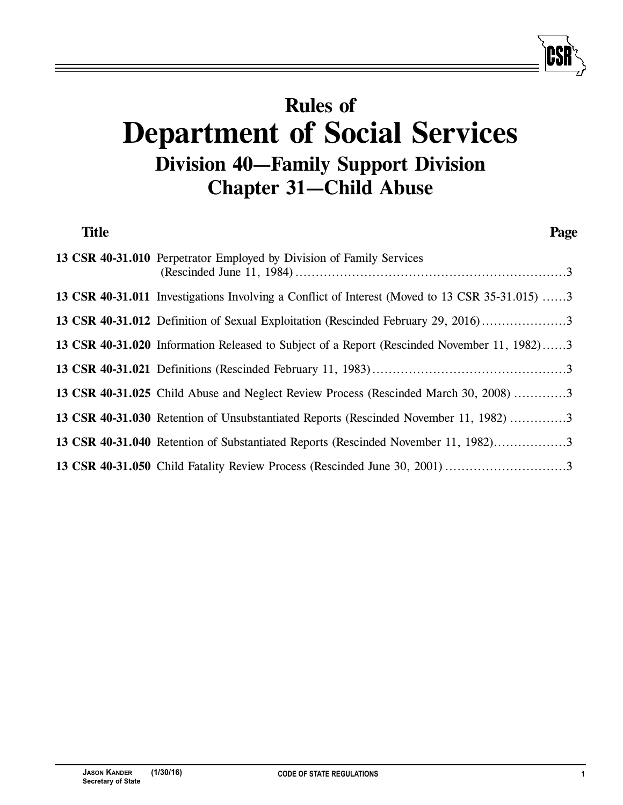# **Rules of Department of Social Services Division 40—Family Support Division Chapter 31—Child Abuse**

| <b>Title</b> | Page                                                                                           |
|--------------|------------------------------------------------------------------------------------------------|
|              | 13 CSR 40-31.010 Perpetrator Employed by Division of Family Services                           |
|              | 13 CSR 40-31.011 Investigations Involving a Conflict of Interest (Moved to 13 CSR 35-31.015) 3 |
|              | 13 CSR 40-31.012 Definition of Sexual Exploitation (Rescinded February 29, 2016)3              |
|              | 13 CSR 40-31.020 Information Released to Subject of a Report (Rescinded November 11, 1982)3    |
|              |                                                                                                |
|              | 13 CSR 40-31.025 Child Abuse and Neglect Review Process (Rescinded March 30, 2008) 3           |
|              | 13 CSR 40-31.030 Retention of Unsubstantiated Reports (Rescinded November 11, 1982) 3          |
|              | 13 CSR 40-31.040 Retention of Substantiated Reports (Rescinded November 11, 1982)3             |
|              |                                                                                                |